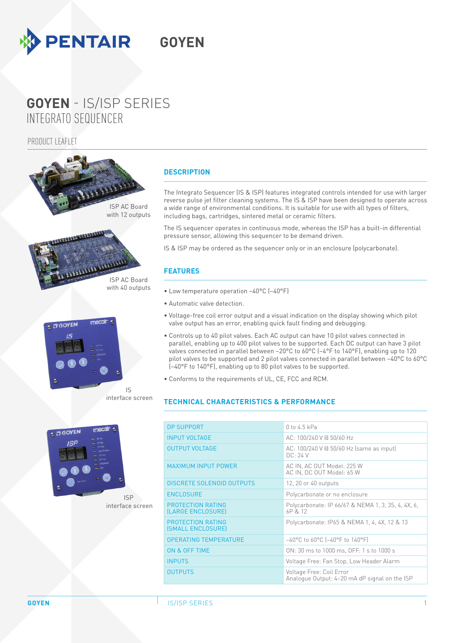

# INTEGRATO SEQUENCER **GOYEN** - IS/ISP SERIES

PRODUCT LEAFLET



ISP interface screen

### **DESCRIPTION**

The Integrato Sequencer (IS & ISP) features integrated controls intended for use with larger reverse pulse jet filter cleaning systems. The IS & ISP have been designed to operate across a wide range of environmental conditions. It is suitable for use with all types of filters, including bags, cartridges, sintered metal or ceramic filters.

The IS sequencer operates in continuous mode, whereas the ISP has a built-in differential pressure sensor, allowing this sequencer to be demand driven.

IS & ISP may be ordered as the sequencer only or in an enclosure (polycarbonate).

## **FEATURES**

- Low temperature operation −40°C (−40°F)
- Automatic valve detection.
- Voltage-free coil error output and a visual indication on the display showing which pilot valve output has an error, enabling quick fault finding and debugging.
- Controls up to 40 pilot valves. Each AC output can have 10 pilot valves connected in parallel, enabling up to 400 pilot valves to be supported. Each DC output can have 3 pilot valves connected in parallel between −20°C to 60°C (−4°F to 140°F), enabling up to 120 pilot valves to be supported and 2 pilot valves connected in parallel between −40°C to 60°C (−40°F to 140°F), enabling up to 80 pilot valves to be supported.
- Conforms to the requirements of UL, CE, FCC and RCM.

### **TECHNICAL CHARACTERISTICS & PERFORMANCE**

| <b>DP SUPPORT</b>                      | $0$ to 4.5 kPa                                                            |
|----------------------------------------|---------------------------------------------------------------------------|
| <b>INPUT VOLTAGE</b>                   | AC: 100/240 V @ 50/60 Hz                                                  |
| <b>OUTPUT VOLTAGE</b>                  | AC: 100/240 V @ 50/60 Hz (same as input)<br>DC: 24V                       |
| <b>MAXIMUM INPUT POWER</b>             | AC IN, AC OUT Model: 225 W<br>AC IN, DC OUT Model: 65 W                   |
| <b>DISCRETE SOLENOID OUTPUTS</b>       | 12, 20 or 40 outputs                                                      |
| <b>ENCLOSURE</b>                       | Polycarbonate or no enclosure                                             |
| PROTECTION RATING<br>(LARGE ENCLOSURE) | Polycarbonate: IP 66/67 & NEMA 1, 3, 3S, 4, 4X, 6,<br>6P & 12             |
| PROTECTION RATING<br>(SMALL ENCLOSURE) | Polycarbonate: IP65 & NEMA 1, 4, 4X, 12 & 13                              |
| <b>OPERATING TEMPERATURE</b>           | $-40^{\circ}$ C to 60°C (-40°F to 140°F)                                  |
| ON & OFF TIME                          | ON: 30 ms to 1000 ms, OFF: 1 s to 1000 s                                  |
| <b>INPUTS</b>                          | Voltage Free: Fan Stop, Low Header Alarm                                  |
| <b>OUTPUTS</b>                         | Voltage Free: Coil Error<br>Analogue Output: 4-20 mA dP signal on the ISP |